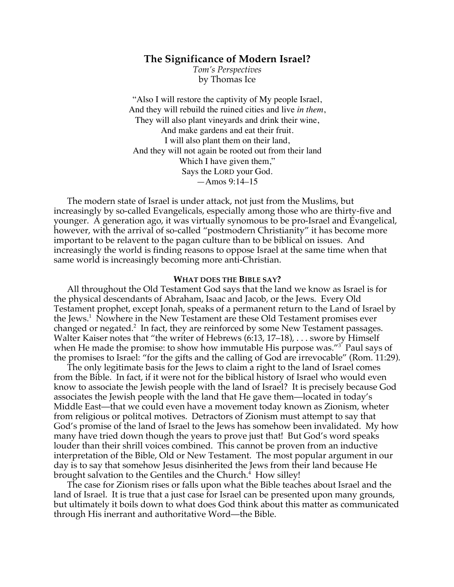# **The Significance of Modern Israel?**

*Tom's Perspectives* by Thomas Ice

"Also I will restore the captivity of My people Israel, And they will rebuild the ruined cities and live *in them*, They will also plant vineyards and drink their wine, And make gardens and eat their fruit. I will also plant them on their land, And they will not again be rooted out from their land Which I have given them," Says the LORD your God. —Amos 9:14–15

The modern state of Israel is under attack, not just from the Muslims, but increasingly by so-called Evangelicals, especially among those who are thirty-five and younger. A generation ago, it was virtually synomous to be pro-Israel and Evangelical, however, with the arrival of so-called "postmodern Christianity" it has become more important to be relavent to the pagan culture than to be biblical on issues. And increasingly the world is finding reasons to oppose Israel at the same time when that same world is increasingly becoming more anti-Christian.

#### **WHAT DOES THE BIBLE SAY?**

All throughout the Old Testament God says that the land we know as Israel is for the physical descendants of Abraham, Isaac and Jacob, or the Jews. Every Old Testament prophet, except Jonah, speaks of a permanent return to the Land of Israel by the Jews.<sup>1</sup> Nowhere in the New Testament are these Old Testament promises ever changed or negated. $2$  In fact, they are reinforced by some New Testament passages. Walter Kaiser notes that "the writer of Hebrews (6:13, 17–18), . . . swore by Himself when He made the promise: to show how immutable His purpose was."<sup>3</sup> Paul says of the promises to Israel: "for the gifts and the calling of God are irrevocable" (Rom. 11:29).

The only legitimate basis for the Jews to claim a right to the land of Israel comes from the Bible. In fact, if it were not for the biblical history of Israel who would even know to associate the Jewish people with the land of Israel? It is precisely because God associates the Jewish people with the land that He gave them—located in today's Middle East—that we could even have a movement today known as Zionism, wheter from religious or politcal motives. Detractors of Zionism must attempt to say that God's promise of the land of Israel to the Jews has somehow been invalidated. My how many have tried down though the years to prove just that! But God's word speaks louder than their shrill voices combined. This cannot be proven from an inductive interpretation of the Bible, Old or New Testament. The most popular argument in our day is to say that somehow Jesus disinherited the Jews from their land because He brought salvation to the Gentiles and the Church.<sup>4</sup> How silley!

The case for Zionism rises or falls upon what the Bible teaches about Israel and the land of Israel. It is true that a just case for Israel can be presented upon many grounds, but ultimately it boils down to what does God think about this matter as communicated through His inerrant and authoritative Word—the Bible.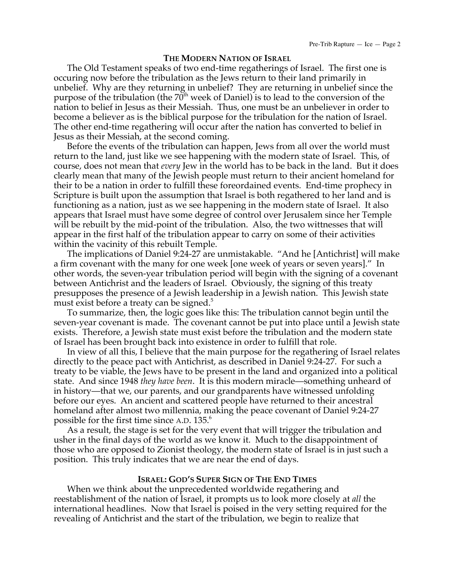#### **THE MODERN NATION OF ISRAEL**

The Old Testament speaks of two end-time regatherings of Israel. The first one is occuring now before the tribulation as the Jews return to their land primarily in unbelief. Why are they returning in unbelief? They are returning in unbelief since the purpose of the tribulation (the  $70<sup>th</sup>$  week of Daniel) is to lead to the conversion of the nation to belief in Jesus as their Messiah. Thus, one must be an unbeliever in order to become a believer as is the biblical purpose for the tribulation for the nation of Israel. The other end-time regathering will occur after the nation has converted to belief in Jesus as their Messiah, at the second coming.

Before the events of the tribulation can happen, Jews from all over the world must return to the land, just like we see happening with the modern state of Israel. This, of course, does not mean that *every* Jew in the world has to be back in the land. But it does clearly mean that many of the Jewish people must return to their ancient homeland for their to be a nation in order to fulfill these foreordained events. End-time prophecy in Scripture is built upon the assumption that Israel is both regathered to her land and is functioning as a nation, just as we see happening in the modern state of Israel. It also appears that Israel must have some degree of control over Jerusalem since her Temple will be rebuilt by the mid-point of the tribulation. Also, the two wittnesses that will appear in the first half of the tribulation appear to carry on some of their activities within the vacinity of this rebuilt Temple.

The implications of Daniel 9:24-27 are unmistakable. "And he [Antichrist] will make a firm covenant with the many for one week [one week of years or seven years]." In other words, the seven-year tribulation period will begin with the signing of a covenant between Antichrist and the leaders of Israel. Obviously, the signing of this treaty presupposes the presence of a Jewish leadership in a Jewish nation. This Jewish state must exist before a treaty can be signed. $5$ 

To summarize, then, the logic goes like this: The tribulation cannot begin until the seven-year covenant is made. The covenant cannot be put into place until a Jewish state exists. Therefore, a Jewish state must exist before the tribulation and the modern state of Israel has been brought back into existence in order to fulfill that role.

In view of all this, I believe that the main purpose for the regathering of Israel relates directly to the peace pact with Antichrist, as described in Daniel 9:24-27. For such a treaty to be viable, the Jews have to be present in the land and organized into a political state. And since 1948 *they have been*. It is this modern miracle—something unheard of in history—that we, our parents, and our grandparents have witnessed unfolding before our eyes. An ancient and scattered people have returned to their ancestral homeland after almost two millennia, making the peace covenant of Daniel 9:24-27 possible for the first time since A.D. 135. 6

As a result, the stage is set for the very event that will trigger the tribulation and usher in the final days of the world as we know it. Much to the disappointment of those who are opposed to Zionist theology, the modern state of Israel is in just such a position. This truly indicates that we are near the end of days.

## **ISRAEL: GOD'S SUPER SIGN OF THE END TIMES**

When we think about the unprecedented worldwide regathering and reestablishment of the nation of Israel, it prompts us to look more closely at *all* the international headlines. Now that Israel is poised in the very setting required for the revealing of Antichrist and the start of the tribulation, we begin to realize that